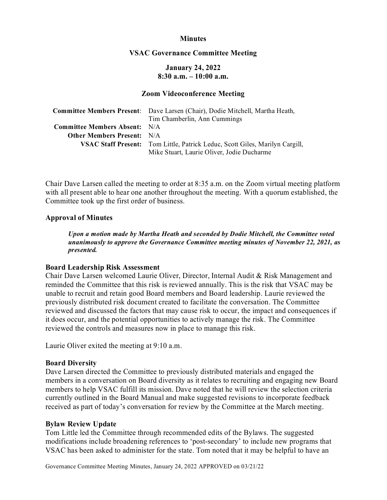## **Minutes**

### **VSAC Governance Committee Meeting**

# **January 24, 2022 8:30 a.m. – 10:00 a.m.**

### **Zoom Videoconference Meeting**

|                                      | Committee Members Present: Dave Larsen (Chair), Dodie Mitchell, Martha Heath, |
|--------------------------------------|-------------------------------------------------------------------------------|
|                                      | Tim Chamberlin, Ann Cummings                                                  |
| <b>Committee Members Absent:</b> N/A |                                                                               |
| <b>Other Members Present:</b> N/A    |                                                                               |
|                                      | VSAC Staff Present: Tom Little, Patrick Leduc, Scott Giles, Marilyn Cargill,  |
|                                      | Mike Stuart, Laurie Oliver, Jodie Ducharme                                    |

Chair Dave Larsen called the meeting to order at 8:35 a.m. on the Zoom virtual meeting platform with all present able to hear one another throughout the meeting. With a quorum established, the Committee took up the first order of business.

## **Approval of Minutes**

*Upon a motion made by Martha Heath and seconded by Dodie Mitchell, the Committee voted unanimously to approve the Governance Committee meeting minutes of November 22, 2021, as presented.* 

#### **Board Leadership Risk Assessment**

Chair Dave Larsen welcomed Laurie Oliver, Director, Internal Audit & Risk Management and reminded the Committee that this risk is reviewed annually. This is the risk that VSAC may be unable to recruit and retain good Board members and Board leadership. Laurie reviewed the previously distributed risk document created to facilitate the conversation. The Committee reviewed and discussed the factors that may cause risk to occur, the impact and consequences if it does occur, and the potential opportunities to actively manage the risk. The Committee reviewed the controls and measures now in place to manage this risk.

Laurie Oliver exited the meeting at 9:10 a.m.

#### **Board Diversity**

Dave Larsen directed the Committee to previously distributed materials and engaged the members in a conversation on Board diversity as it relates to recruiting and engaging new Board members to help VSAC fulfill its mission. Dave noted that he will review the selection criteria currently outlined in the Board Manual and make suggested revisions to incorporate feedback received as part of today's conversation for review by the Committee at the March meeting.

## **Bylaw Review Update**

Tom Little led the Committee through recommended edits of the Bylaws. The suggested modifications include broadening references to 'post-secondary' to include new programs that VSAC has been asked to administer for the state. Tom noted that it may be helpful to have an